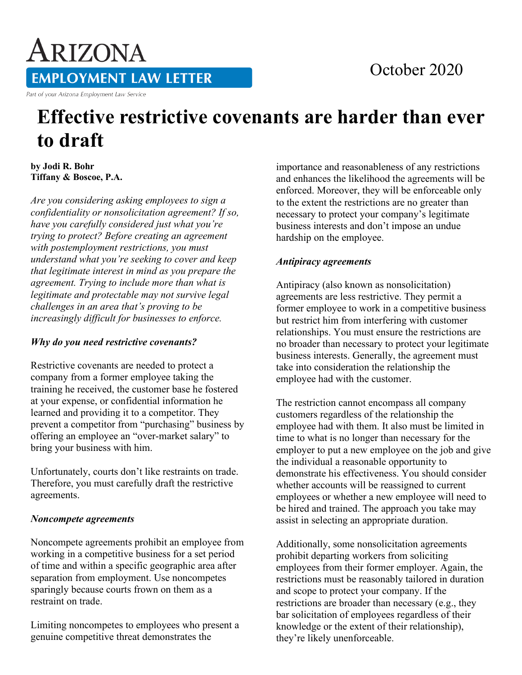# ARIZONA **EMPLOYMENT LAW LETTER**

Part of your Arizona Employment Law Service

# **Effective restrictive covenants are harder than ever to draft**

**by Jodi R. Bohr Tiffany & Boscoe, P.A.**

*Are you considering asking employees to sign a confidentiality or nonsolicitation agreement? If so, have you carefully considered just what you're trying to protect? Before creating an agreement with postemployment restrictions, you must understand what you're seeking to cover and keep that legitimate interest in mind as you prepare the agreement. Trying to include more than what is legitimate and protectable may not survive legal challenges in an area that's proving to be increasingly difficult for businesses to enforce.*

#### *Why do you need restrictive covenants?*

Restrictive covenants are needed to protect a company from a former employee taking the training he received, the customer base he fostered at your expense, or confidential information he learned and providing it to a competitor. They prevent a competitor from "purchasing" business by offering an employee an "over-market salary" to bring your business with him.

Unfortunately, courts don't like restraints on trade. Therefore, you must carefully draft the restrictive agreements.

# *Noncompete agreements*

Noncompete agreements prohibit an employee from working in a competitive business for a set period of time and within a specific geographic area after separation from employment. Use noncompetes sparingly because courts frown on them as a restraint on trade.

Limiting noncompetes to employees who present a genuine competitive threat demonstrates the

importance and reasonableness of any restrictions and enhances the likelihood the agreements will be enforced. Moreover, they will be enforceable only to the extent the restrictions are no greater than necessary to protect your company's legitimate business interests and don't impose an undue hardship on the employee.

October 2020

#### *Antipiracy agreements*

Antipiracy (also known as nonsolicitation) agreements are less restrictive. They permit a former employee to work in a competitive business but restrict him from interfering with customer relationships. You must ensure the restrictions are no broader than necessary to protect your legitimate business interests. Generally, the agreement must take into consideration the relationship the employee had with the customer.

The restriction cannot encompass all company customers regardless of the relationship the employee had with them. It also must be limited in time to what is no longer than necessary for the employer to put a new employee on the job and give the individual a reasonable opportunity to demonstrate his effectiveness. You should consider whether accounts will be reassigned to current employees or whether a new employee will need to be hired and trained. The approach you take may assist in selecting an appropriate duration.

Additionally, some nonsolicitation agreements prohibit departing workers from soliciting employees from their former employer. Again, the restrictions must be reasonably tailored in duration and scope to protect your company. If the restrictions are broader than necessary (e.g., they bar solicitation of employees regardless of their knowledge or the extent of their relationship), they're likely unenforceable.